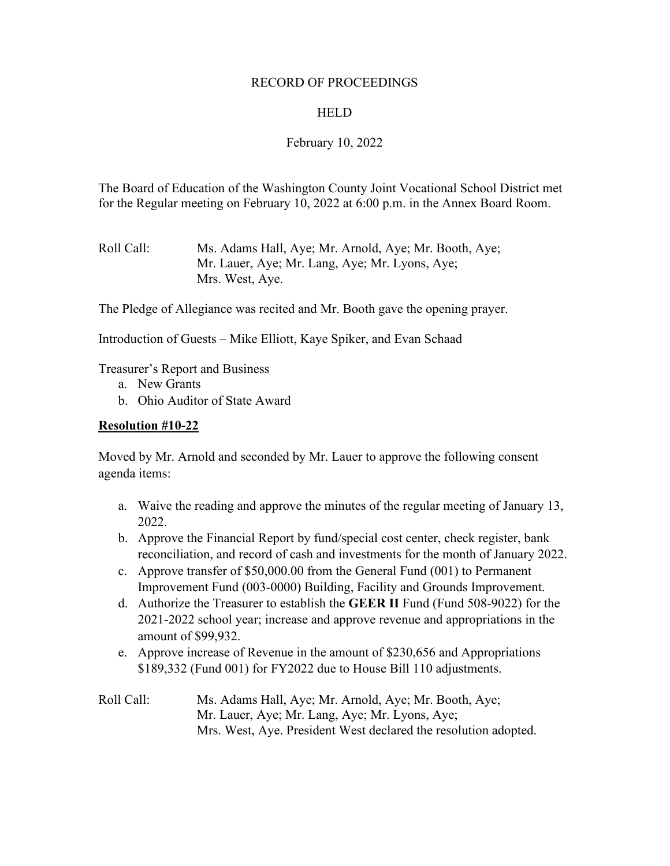#### RECORD OF PROCEEDINGS

#### **HELD**

### February 10, 2022

The Board of Education of the Washington County Joint Vocational School District met for the Regular meeting on February 10, 2022 at 6:00 p.m. in the Annex Board Room.

Roll Call: Ms. Adams Hall, Aye; Mr. Arnold, Aye; Mr. Booth, Aye; Mr. Lauer, Aye; Mr. Lang, Aye; Mr. Lyons, Aye; Mrs. West, Aye.

The Pledge of Allegiance was recited and Mr. Booth gave the opening prayer.

Introduction of Guests – Mike Elliott, Kaye Spiker, and Evan Schaad

Treasurer's Report and Business

- a. New Grants
- b. Ohio Auditor of State Award

#### **Resolution #10-22**

Moved by Mr. Arnold and seconded by Mr. Lauer to approve the following consent agenda items:

- a. Waive the reading and approve the minutes of the regular meeting of January 13, 2022.
- b. Approve the Financial Report by fund/special cost center, check register, bank reconciliation, and record of cash and investments for the month of January 2022.
- c. Approve transfer of \$50,000.00 from the General Fund (001) to Permanent Improvement Fund (003-0000) Building, Facility and Grounds Improvement.
- d. Authorize the Treasurer to establish the **GEER II** Fund (Fund 508-9022) for the 2021-2022 school year; increase and approve revenue and appropriations in the amount of \$99,932.
- e. Approve increase of Revenue in the amount of \$230,656 and Appropriations \$189,332 (Fund 001) for FY2022 due to House Bill 110 adjustments.
- Roll Call: Ms. Adams Hall, Aye; Mr. Arnold, Aye; Mr. Booth, Aye; Mr. Lauer, Aye; Mr. Lang, Aye; Mr. Lyons, Aye; Mrs. West, Aye. President West declared the resolution adopted.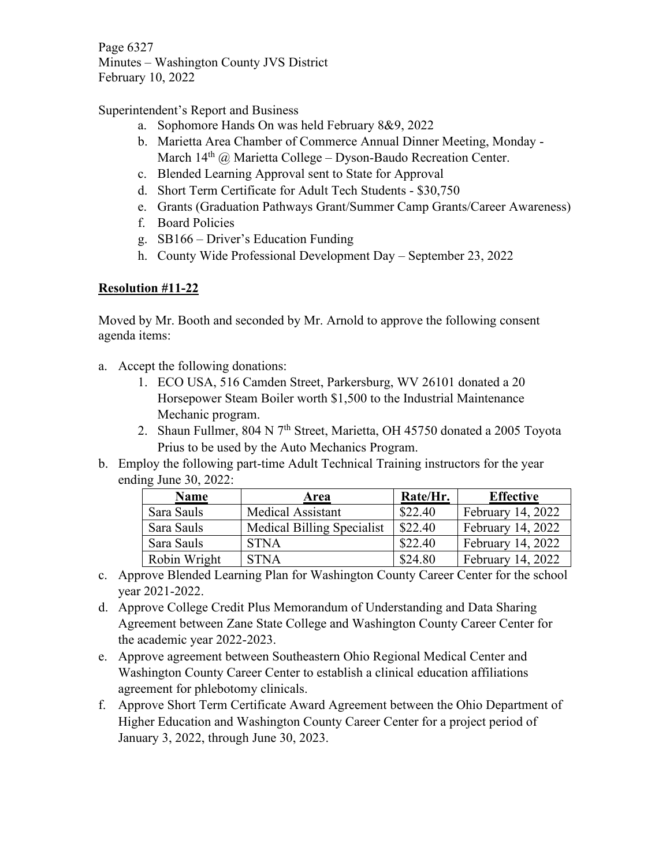Page 6327 Minutes – Washington County JVS District February 10, 2022

Superintendent's Report and Business

- a. Sophomore Hands On was held February 8&9, 2022
- b. Marietta Area Chamber of Commerce Annual Dinner Meeting, Monday March 14<sup>th</sup> @ Marietta College – Dyson-Baudo Recreation Center.
- c. Blended Learning Approval sent to State for Approval
- d. Short Term Certificate for Adult Tech Students \$30,750
- e. Grants (Graduation Pathways Grant/Summer Camp Grants/Career Awareness)
- f. Board Policies
- g. SB166 Driver's Education Funding
- h. County Wide Professional Development Day September 23, 2022

# **Resolution #11-22**

Moved by Mr. Booth and seconded by Mr. Arnold to approve the following consent agenda items:

- a. Accept the following donations:
	- 1. ECO USA, 516 Camden Street, Parkersburg, WV 26101 donated a 20 Horsepower Steam Boiler worth \$1,500 to the Industrial Maintenance Mechanic program.
	- 2. Shaun Fullmer, 804 N 7<sup>th</sup> Street, Marietta, OH 45750 donated a 2005 Toyota Prius to be used by the Auto Mechanics Program.
- b. Employ the following part-time Adult Technical Training instructors for the year ending June 30, 2022:

| <b>Name</b>  | Area                              | Rate/Hr. | <b>Effective</b>  |
|--------------|-----------------------------------|----------|-------------------|
| Sara Sauls   | Medical Assistant                 | \$22.40  | February 14, 2022 |
| Sara Sauls   | <b>Medical Billing Specialist</b> | \$22.40  | February 14, 2022 |
| Sara Sauls   | <b>STNA</b>                       | \$22.40  | February 14, 2022 |
| Robin Wright | <b>STNA</b>                       | \$24.80  | February 14, 2022 |

- c. Approve Blended Learning Plan for Washington County Career Center for the school year 2021-2022.
- d. Approve College Credit Plus Memorandum of Understanding and Data Sharing Agreement between Zane State College and Washington County Career Center for the academic year 2022-2023.
- e. Approve agreement between Southeastern Ohio Regional Medical Center and Washington County Career Center to establish a clinical education affiliations agreement for phlebotomy clinicals.
- f. Approve Short Term Certificate Award Agreement between the Ohio Department of Higher Education and Washington County Career Center for a project period of January 3, 2022, through June 30, 2023.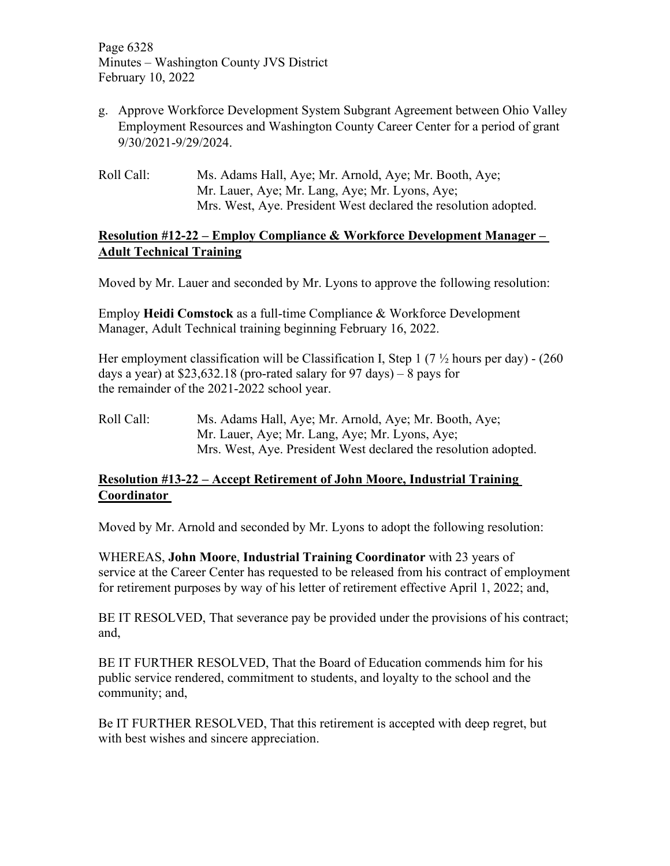Page 6328 Minutes – Washington County JVS District February 10, 2022

- g. Approve Workforce Development System Subgrant Agreement between Ohio Valley Employment Resources and Washington County Career Center for a period of grant 9/30/2021-9/29/2024.
- Roll Call: Ms. Adams Hall, Aye; Mr. Arnold, Aye; Mr. Booth, Aye; Mr. Lauer, Aye; Mr. Lang, Aye; Mr. Lyons, Aye; Mrs. West, Aye. President West declared the resolution adopted.

## **Resolution #12-22 – Employ Compliance & Workforce Development Manager – Adult Technical Training**

Moved by Mr. Lauer and seconded by Mr. Lyons to approve the following resolution:

Employ **Heidi Comstock** as a full-time Compliance & Workforce Development Manager, Adult Technical training beginning February 16, 2022.

Her employment classification will be Classification I, Step 1 (7  $\frac{1}{2}$  hours per day) - (260 days a year) at  $$23,632.18$  (pro-rated salary for 97 days) – 8 pays for the remainder of the 2021-2022 school year.

Roll Call: Ms. Adams Hall, Aye; Mr. Arnold, Aye; Mr. Booth, Aye; Mr. Lauer, Aye; Mr. Lang, Aye; Mr. Lyons, Aye; Mrs. West, Aye. President West declared the resolution adopted.

# **Resolution #13-22 – Accept Retirement of John Moore, Industrial Training Coordinator**

Moved by Mr. Arnold and seconded by Mr. Lyons to adopt the following resolution:

WHEREAS, **John Moore**, **Industrial Training Coordinator** with 23 years of service at the Career Center has requested to be released from his contract of employment for retirement purposes by way of his letter of retirement effective April 1, 2022; and,

BE IT RESOLVED, That severance pay be provided under the provisions of his contract; and,

BE IT FURTHER RESOLVED, That the Board of Education commends him for his public service rendered, commitment to students, and loyalty to the school and the community; and,

Be IT FURTHER RESOLVED, That this retirement is accepted with deep regret, but with best wishes and sincere appreciation.